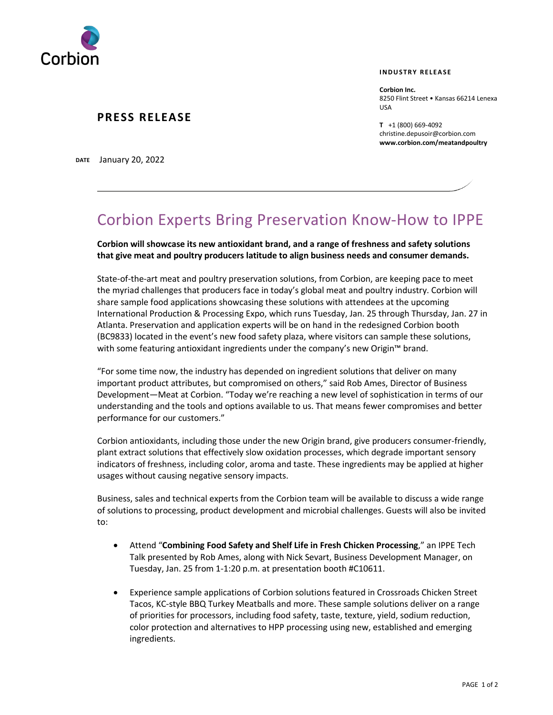

#### **INDUSTRY RELEASE**

**Corbion Inc.** 8250 Flint Street • Kansas 66214 Lenexa USA

**T** +1 (800) 669-4092 christine.depusoir@corbion.com **www.corbion.com/meatandpoultry**

**PRESS RELEASE** 

**DATE** January 20, 2022

# Corbion Experts Bring Preservation Know-How to IPPE

**Corbion will showcase its new antioxidant brand, and a range of freshness and safety solutions that give meat and poultry producers latitude to align business needs and consumer demands.**

State-of-the-art meat and poultry preservation solutions, from Corbion, are keeping pace to meet the myriad challenges that producers face in today's global meat and poultry industry. Corbion will share sample food applications showcasing these solutions with attendees at the upcoming International Production & Processing Expo, which runs Tuesday, Jan. 25 through Thursday, Jan. 27 in Atlanta. Preservation and application experts will be on hand in the redesigned Corbion booth (BC9833) located in the event's new food safety plaza, where visitors can sample these solutions, with some featuring antioxidant ingredients under the company's new Origin™ brand.

"For some time now, the industry has depended on ingredient solutions that deliver on many important product attributes, but compromised on others," said Rob Ames, Director of Business Development—Meat at Corbion. "Today we're reaching a new level of sophistication in terms of our understanding and the tools and options available to us. That means fewer compromises and better performance for our customers."

Corbion antioxidants, including those under the new Origin brand, give producers consumer-friendly, plant extract solutions that effectively slow oxidation processes, which degrade important sensory indicators of freshness, including color, aroma and taste. These ingredients may be applied at higher usages without causing negative sensory impacts.

Business, sales and technical experts from the Corbion team will be available to discuss a wide range of solutions to processing, product development and microbial challenges. Guests will also be invited to:

- Attend "**Combining Food Safety and Shelf Life in Fresh Chicken Processing**," an IPPE Tech Talk presented by Rob Ames, along with Nick Sevart, Business Development Manager, on Tuesday, Jan. 25 from 1-1:20 p.m. at presentation booth #C10611.
- Experience sample applications of Corbion solutions featured in Crossroads Chicken Street Tacos, KC-style BBQ Turkey Meatballs and more. These sample solutions deliver on a range of priorities for processors, including food safety, taste, texture, yield, sodium reduction, color protection and alternatives to HPP processing using new, established and emerging ingredients.